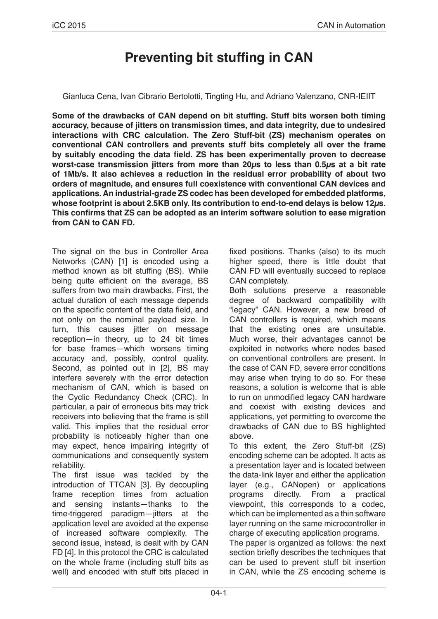# **Preventing bit stuffing in CAN**

Gianluca Cena, Ivan Cibrario Bertolotti, Tingting Hu, and Adriano Valenzano, CNR-IEIIT

**Some of the drawbacks of CAN depend on bit stuffing. Stuff bits worsen both timing accuracy, because of jitters on transmission times, and data integrity, due to undesired interactions with CRC calculation. The Zero Stuff-bit (ZS) mechanism operates on conventional CAN controllers and prevents stuff bits completely all over the frame by suitably encoding the data field. ZS has been experimentally proven to decrease worst-case transmission jitters from more than 20µs to less than 0.5µs at a bit rate of 1Mb/s. It also achieves a reduction in the residual error probability of about two orders of magnitude, and ensures full coexistence with conventional CAN devices and applications. An industrial-grade ZS codec has been developed for embedded platforms, whose footprint is about 2.5KB only. Its contribution to end-to-end delays is below 12µs. This confirms that ZS can be adopted as an interim software solution to ease migration from CAN to CAN FD.**

The signal on the bus in Controller Area Networks (CAN) [1] is encoded using a method known as bit stuffing (BS). While being quite efficient on the average, BS suffers from two main drawbacks. First, the actual duration of each message depends on the specific content of the data field, and not only on the nominal payload size. In turn, this causes jitter on message reception—in theory, up to 24 bit times for base frames—which worsens timing accuracy and, possibly, control quality. Second, as pointed out in [2], BS may interfere severely with the error detection mechanism of CAN, which is based on the Cyclic Redundancy Check (CRC). In particular, a pair of erroneous bits may trick receivers into believing that the frame is still valid. This implies that the residual error probability is noticeably higher than one may expect, hence impairing integrity of communications and consequently system reliability.

The first issue was tackled by the introduction of TTCAN [3]. By decoupling frame reception times from actuation and sensing instants—thanks to the time-triggered paradigm—jitters at the application level are avoided at the expense of increased software complexity. The second issue, instead, is dealt with by CAN FD [4]. In this protocol the CRC is calculated on the whole frame (including stuff bits as well) and encoded with stuff bits placed in fixed positions. Thanks (also) to its much higher speed, there is little doubt that CAN FD will eventually succeed to replace CAN completely.

Both solutions preserve a reasonable degree of backward compatibility with "legacy" CAN. However, a new breed of CAN controllers is required, which means that the existing ones are unsuitable. Much worse, their advantages cannot be exploited in networks where nodes based on conventional controllers are present. In the case of CAN FD, severe error conditions may arise when trying to do so. For these reasons, a solution is welcome that is able to run on unmodified legacy CAN hardware and coexist with existing devices and applications, yet permitting to overcome the drawbacks of CAN due to BS highlighted above.

To this extent, the Zero Stuff-bit (ZS) encoding scheme can be adopted. It acts as a presentation layer and is located between the data-link layer and either the application layer (e.g., CANopen) or applications programs directly. From a practical viewpoint, this corresponds to a codec, which can be implemented as a thin software layer running on the same microcontroller in charge of executing application programs.

The paper is organized as follows: the next section briefly describes the techniques that can be used to prevent stuff bit insertion in CAN, while the ZS encoding scheme is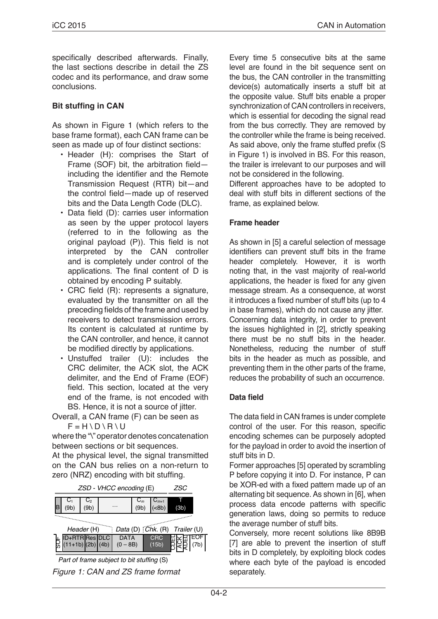specifically described afterwards. Finally, the last sections describe in detail the ZS codec and its performance, and draw some conclusions.

#### **Bit stuffing in CAN**

As shown in Figure 1 (which refers to the base frame format), each CAN frame can be seen as made up of four distinct sections:

- Header (H): comprises the Start of Frame (SOF) bit, the arbitration field including the identifier and the Remote Transmission Request (RTR) bit—and the control field—made up of reserved bits and the Data Length Code (DLC).
- Data field (D): carries user information as seen by the upper protocol layers (referred to in the following as the original payload (P)). This field is not interpreted by the CAN controller and is completely under control of the applications. The final content of D is obtained by encoding P suitably.
- CRC field (R): represents a signature, evaluated by the transmitter on all the preceding fields of the frame and used by receivers to detect transmission errors. Its content is calculated at runtime by the CAN controller, and hence, it cannot be modified directly by applications.
- Unstuffed trailer (U): includes the CRC delimiter, the ACK slot, the ACK delimiter, and the End of Frame (EOF) field. This section, located at the very end of the frame, is not encoded with BS. Hence, it is not a source of jitter.
- Overall, a CAN frame (F) can be seen as  $F = H \ D \ R \ U$

where the "\" operator denotes concatenation between sections or bit sequences.

At the physical level, the signal transmitted on the CAN bus relies on a non-return to zero (NRZ) encoding with bit stuffing.



*Part of frame subject to bit stuffing* (S)

*Figure 1: CAN and ZS frame format*

Every time 5 consecutive bits at the same level are found in the bit sequence sent on the bus, the CAN controller in the transmitting device(s) automatically inserts a stuff bit at the opposite value. Stuff bits enable a proper synchronization of CAN controllers in receivers, which is essential for decoding the signal read from the bus correctly. They are removed by the controller while the frame is being received. As said above, only the frame stuffed prefix (S in Figure 1) is involved in BS. For this reason, the trailer is irrelevant to our purposes and will not be considered in the following.

Different approaches have to be adopted to deal with stuff bits in different sections of the frame, as explained below.

## **Frame header**

As shown in [5] a careful selection of message identifiers can prevent stuff bits in the frame header completely. However, it is worth noting that, in the vast majority of real-world applications, the header is fixed for any given message stream. As a consequence, at worst it introduces a fixed number of stuff bits (up to 4 in base frames), which do not cause any jitter. Concerning data integrity, in order to prevent the issues highlighted in [2], strictly speaking there must be no stuff bits in the header. Nonetheless, reducing the number of stuff bits in the header as much as possible, and preventing them in the other parts of the frame, reduces the probability of such an occurrence.

#### **Data field**

The data field in CAN frames is under complete control of the user. For this reason, specific encoding schemes can be purposely adopted for the payload in order to avoid the insertion of stuff bits in D.

Former approaches [5] operated by scrambling P before copying it into D. For instance, P can be XOR-ed with a fixed pattern made up of an alternating bit sequence. As shown in [6], when process data encode patterns with specific generation laws, doing so permits to reduce the average number of stuff bits.

Conversely, more recent solutions like 8B9B [7] are able to prevent the insertion of stuff bits in D completely, by exploiting block codes where each byte of the payload is encoded separately.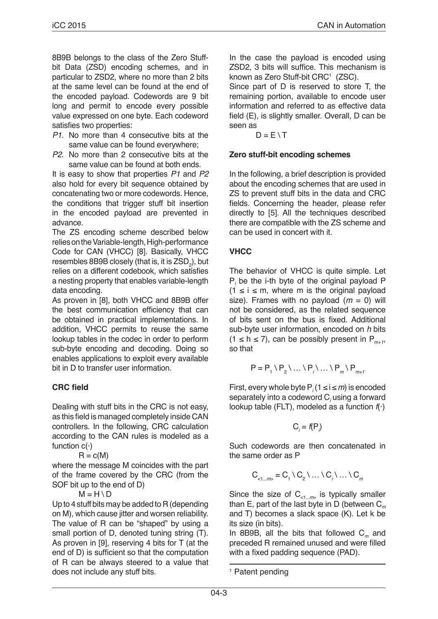8B9B belongs to the class of the Zero Stuffbit Data (ZSD) encoding schemes, and in particular to ZSD2, where no more than 2 bits at the same level can be found at the end of the encoded payload. Codewords are 9 bit long and permit to encode every possible value expressed on one byte. Each codeword satisfies two properties:

- *P1.* No more than 4 consecutive bits at the same value can be found everywhere;
- *P2.* No more than 2 consecutive bits at the same value can be found at both ends.

It is easy to show that properties *P1* and *P2*  also hold for every bit sequence obtained by concatenating two or more codewords. Hence, the conditions that trigger stuff bit insertion in the encoded payload are prevented in advance.

The ZS encoding scheme described below relies on the Variable-length, High-performance Code for CAN (VHCC) [8]. Basically, VHCC resembles 8B9B closely (that is, it is  $\mathsf{ZSD}_2$ ), but relies on a different codebook, which satisfies a nesting property that enables variable-length data encoding.

As proven in [8], both VHCC and 8B9B offer the best communication efficiency that can be obtained in practical implementations. In addition, VHCC permits to reuse the same lookup tables in the codec in order to perform sub-byte encoding and decoding. Doing so enables applications to exploit every available bit in D to transfer user information.

## **CRC field**

Dealing with stuff bits in the CRC is not easy, as this field is managed completely inside CAN controllers. In the following, CRC calculation according to the CAN rules is modeled as a function  $c(\cdot)$ 

 $R = c(M)$ 

where the message M coincides with the part of the frame covered by the CRC (from the SOF bit up to the end of D)

 $M = H \setminus D$ 

Up to 4 stuff bits may be added to R (depending on M), which cause jitter and worsen reliability. The value of R can be "shaped" by using a small portion of D, denoted tuning string (T). As proven in [9], reserving 4 bits for T (at the end of D) is sufficient so that the computation of R can be always steered to a value that does not include any stuff bits.

In the case the payload is encoded using ZSD2, 3 bits will suffice. This mechanism is known as Zero Stuff-bit CRC<sup>1</sup> (ZSC).

Since part of D is reserved to store T, the remaining portion, available to encode user information and referred to as effective data field (E), is slightly smaller. Overall, D can be seen as

 $D = F \setminus T$ 

## **Zero stuff-bit encoding schemes**

In the following, a brief description is provided about the encoding schemes that are used in ZS to prevent stuff bits in the data and CRC fields. Concerning the header, please refer directly to [5]. All the techniques described there are compatible with the ZS scheme and can be used in concert with it.

## **VHCC**

The behavior of VHCC is quite simple. Let P*i* be the i-th byte of the original payload P  $(1 \le i \le m$ , where m is the original payload size). Frames with no payload (*m* = 0) will not be considered, as the related sequence of bits sent on the bus is fixed. Additional sub-byte user information, encoded on *h* bits  $(1 \le h \le 7)$ , can be possibly present in P<sub>m+1</sub>, so that

$$
P = P_1 \setminus P_2 \setminus \ldots \setminus P_i \setminus \ldots \setminus P_m \setminus P_{m+1}
$$

First, every whole byte  $P_i(1 \leq i \leq m)$  is encoded separately into a codeword C*<sup>i</sup>* using a forward lookup table (FLT), modeled as a function *f*(·)

$$
\mathsf{C}_i = f(\mathsf{P}_i)
$$

Such codewords are then concatenated in the same order as P

$$
C_{\langle 1...m\rangle} = C_1 \setminus C_2 \setminus ... \setminus C_i \setminus ... \setminus C_m
$$

Since the size of  $C_{1,m}$  is typically smaller than E, part of the last byte in D (between C*<sup>m</sup>* and T) becomes a slack space (K). Let k be its size (in bits).

In 8B9B, all the bits that followed C*m* and preceded R remained unused and were filled with a fixed padding sequence (PAD).

<sup>&</sup>lt;sup>1</sup> Patent pending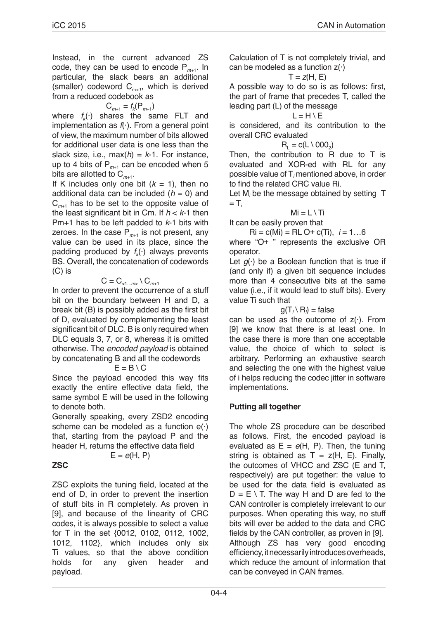Instead, in the current advanced ZS code, they can be used to encode P*m+*1. In particular, the slack bears an additional (smaller) codeword  $C_{m+1}$ , which is derived from a reduced codebook as

$$
\mathsf{C}_{m+1} = f_k(\mathsf{P}_{m+1})
$$

where  $f_k(\cdot)$  shares the same FLT and implementation as *f*(·). From a general point of view, the maximum number of bits allowed for additional user data is one less than the slack size, i.e.,  $max(h) = k-1$ . For instance, up to 4 bits of  $P_{m+1}$  can be encoded when 5 bits are allotted to  $C_{m+1}$ .

If K includes only one bit  $(k = 1)$ , then no additional data can be included  $(h = 0)$  and C*m*+1 has to be set to the opposite value of the least significant bit in Cm. If *h* < *k*-1 then Pm+1 has to be left padded to *k*-1 bits with zeroes. In the case  $P_{m+1}$  is not present, any value can be used in its place, since the padding produced by  $f_k(\cdot)$  always prevents BS. Overall, the concatenation of codewords (C) is

 $C = C_{\text{max}} \setminus C_{m+1}$ 

In order to prevent the occurrence of a stuff bit on the boundary between H and D, a break bit (B) is possibly added as the first bit of D, evaluated by complementing the least significant bit of DLC. B is only required when DLC equals 3, 7, or 8, whereas it is omitted otherwise. The *encoded payload* is obtained by concatenating B and all the codewords

$$
E = B \setminus C
$$

Since the payload encoded this way fits exactly the entire effective data field, the same symbol E will be used in the following to denote both.

Generally speaking, every ZSD2 encoding scheme can be modeled as a function  $e(\cdot)$ that, starting from the payload P and the header H, returns the effective data field

$$
\mathsf{E} = e(\mathsf{H},\,\mathsf{P})
$$

**ZSC**

ZSC exploits the tuning field, located at the end of D, in order to prevent the insertion of stuff bits in R completely. As proven in [9], and because of the linearity of CRC codes, it is always possible to select a value for T in the set {0012, 0102, 0112, 1002, 1012, 1102}, which includes only six Ti values, so that the above condition holds for any given header and payload.

Calculation of T is not completely trivial, and can be modeled as a function  $z(\cdot)$ 

$$
T=z(H,\,E)
$$

A possible way to do so is as follows: first, the part of frame that precedes T, called the leading part (L) of the message

#### $L = H \setminus E$

is considered, and its contribution to the overall CRC evaluated

#### $R_i = c(L \setminus 000_2)$

Then, the contribution to R due to T is evaluated and XOR-ed with RL for any possible value of T*<sup>i</sup>* mentioned above, in order to find the related CRC value Ri.

Let  $M_i$  be the message obtained by setting  $T$  $=$  T<sub>i</sub>

#### $Mi = L \setminus Ti$

It can be easily proven that

 $\text{Ri} = \text{c(Mi)} = \text{RLO} + \text{c(Ti)}$ ,  $i = 1...6$ 

where "O+ " represents the exclusive OR operator.

Let  $g(\cdot)$  be a Boolean function that is true if (and only if) a given bit sequence includes more than 4 consecutive bits at the same value (i.e., if it would lead to stuff bits). Every value Ti such that

## $g(T_i \setminus R_i) = \text{false}$

can be used as the outcome of  $z(\cdot)$ . From [9] we know that there is at least one. In the case there is more than one acceptable value, the choice of which to select is arbitrary. Performing an exhaustive search and selecting the one with the highest value of i helps reducing the codec jitter in software implementations.

#### **Putting all together**

The whole ZS procedure can be described as follows. First, the encoded payload is evaluated as  $E = e(H, P)$ . Then, the tuning string is obtained as  $T = z(H, E)$ . Finally, the outcomes of VHCC and ZSC (E and T, respectively) are put together: the value to be used for the data field is evaluated as  $D = E \setminus T$ . The way H and D are fed to the CAN controller is completely irrelevant to our purposes. When operating this way, no stuff bits will ever be added to the data and CRC fields by the CAN controller, as proven in [9]. Although ZS has very good encoding efficiency, it necessarily introduces overheads, which reduce the amount of information that can be conveyed in CAN frames.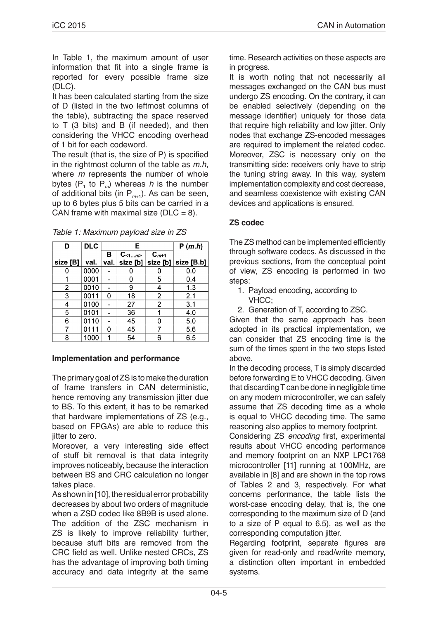In Table 1, the maximum amount of user information that fit into a single frame is reported for every possible frame size (DLC).

It has been calculated starting from the size of D (listed in the two leftmost columns of the table), subtracting the space reserved to T (3 bits) and B (if needed), and then considering the VHCC encoding overhead of 1 bit for each codeword.

The result (that is, the size of P) is specified in the rightmost column of the table as *m.h*, where *m* represents the number of whole bytes  $(P_1$  to  $P_m$ ) whereas *h* is the number of additional bits (in P*m*+1). As can be seen, up to 6 bytes plus 5 bits can be carried in a CAN frame with maximal size ( $DLC = 8$ ).

*Table 1: Maximum payload size in ZS*

| D        | <b>DLC</b> | E    |            |           | P(m.h)     |
|----------|------------|------|------------|-----------|------------|
|          |            | в    | $C_{<1m>}$ | $C_{m+1}$ |            |
| size [B] | val.       | val. | size [b]   | size[b]   | size [B.b] |
|          | 0000       |      |            |           | 0.0        |
|          | 0001       |      | 0          | 5         | 0.4        |
| 2        | 0010       |      | 9          | 4         | 1.3        |
| 3        | 0011       | 0    | 18         | 2         | 2.1        |
| 4        | 0100       |      | 27         | 2         | 3.1        |
| 5        | 0101       |      | 36         |           | 4.0        |
| 6        | 0110       |      | 45         | 0         | 5.0        |
|          | 0111       | 0    | 45         |           | 5.6        |
| 8        | 1000       |      | 54         | 6         | 6.5        |

## **Implementation and performance**

The primary goal of ZS is to make the duration of frame transfers in CAN deterministic, hence removing any transmission jitter due to BS. To this extent, it has to be remarked that hardware implementations of ZS (e.g., based on FPGAs) are able to reduce this jitter to zero.

Moreover, a very interesting side effect of stuff bit removal is that data integrity improves noticeably, because the interaction between BS and CRC calculation no longer takes place.

As shown in [10], the residual error probability decreases by about two orders of magnitude when a ZSD codec like 8B9B is used alone. The addition of the ZSC mechanism in ZS is likely to improve reliability further, because stuff bits are removed from the CRC field as well. Unlike nested CRCs, ZS has the advantage of improving both timing accuracy and data integrity at the same time. Research activities on these aspects are in progress.

It is worth noting that not necessarily all messages exchanged on the CAN bus must undergo ZS encoding. On the contrary, it can be enabled selectively (depending on the message identifier) uniquely for those data that require high reliability and low jitter. Only nodes that exchange ZS-encoded messages are required to implement the related codec. Moreover, ZSC is necessary only on the transmitting side: receivers only have to strip the tuning string away. In this way, system implementation complexity and cost decrease, and seamless coexistence with existing CAN devices and applications is ensured.

## **ZS codec**

The ZS method can be implemented efficiently through software codecs. As discussed in the previous sections, from the conceptual point of view, ZS encoding is performed in two steps:

- 1. Payload encoding, according to VHCC;
- 2. Generation of T, according to ZSC.

Given that the same approach has been adopted in its practical implementation, we can consider that ZS encoding time is the sum of the times spent in the two steps listed above.

In the decoding process, T is simply discarded before forwarding E to VHCC decoding. Given that discarding T can be done in negligible time on any modern microcontroller, we can safely assume that ZS decoding time as a whole is equal to VHCC decoding time. The same reasoning also applies to memory footprint.

Considering ZS *encoding* first, experimental results about VHCC encoding performance and memory footprint on an NXP LPC1768 microcontroller [11] running at 100MHz, are available in [8] and are shown in the top rows of Tables 2 and 3, respectively. For what concerns performance, the table lists the worst-case encoding delay, that is, the one corresponding to the maximum size of D (and to a size of P equal to 6.5), as well as the corresponding computation jitter.

Regarding footprint, separate figures are given for read-only and read/write memory, a distinction often important in embedded systems.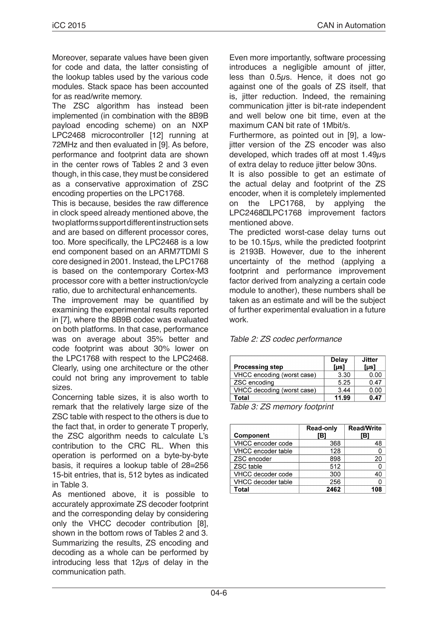Moreover, separate values have been given for code and data, the latter consisting of the lookup tables used by the various code modules. Stack space has been accounted for as read/write memory.

The ZSC algorithm has instead been implemented (in combination with the 8B9B payload encoding scheme) on an NXP LPC2468 microcontroller [12] running at 72MHz and then evaluated in [9]. As before, performance and footprint data are shown in the center rows of Tables 2 and 3 even though, in this case, they must be considered as a conservative approximation of ZSC encoding properties on the LPC1768.

This is because, besides the raw difference in clock speed already mentioned above, the two platforms support different instruction sets and are based on different processor cores, too. More specifically, the LPC2468 is a low end component based on an ARM7TDMI S core designed in 2001. Instead, the LPC1768 is based on the contemporary Cortex-M3 processor core with a better instruction/cycle ratio, due to architectural enhancements.

The improvement may be quantified by examining the experimental results reported in [7], where the 8B9B codec was evaluated on both platforms. In that case, performance was on average about 35% better and code footprint was about 30% lower on the LPC1768 with respect to the LPC2468. Clearly, using one architecture or the other could not bring any improvement to table sizes.

Concerning table sizes, it is also worth to remark that the relatively large size of the ZSC table with respect to the others is due to the fact that, in order to generate T properly, the ZSC algorithm needs to calculate L's contribution to the CRC RL. When this operation is performed on a byte-by-byte basis, it requires a lookup table of 28=256 15-bit entries, that is, 512 bytes as indicated in Table 3.

As mentioned above, it is possible to accurately approximate ZS decoder footprint and the corresponding delay by considering only the VHCC decoder contribution [8], shown in the bottom rows of Tables 2 and 3. Summarizing the results, ZS encoding and decoding as a whole can be performed by introducing less that  $12\mu s$  of delay in the communication path.

Even more importantly, software processing introduces a negligible amount of jitter, less than 0.5µs. Hence, it does not go against one of the goals of ZS itself, that is, jitter reduction. Indeed, the remaining communication jitter is bit-rate independent and well below one bit time, even at the maximum CAN bit rate of 1Mbit/s.

Furthermore, as pointed out in [9], a lowjitter version of the ZS encoder was also developed, which trades off at most 1.49µs of extra delay to reduce jitter below 30ns.

It is also possible to get an estimate of the actual delay and footprint of the ZS encoder, when it is completely implemented on the LPC1768, by applying the LPC2468□LPC1768 improvement factors mentioned above.

The predicted worst-case delay turns out to be 10.15µs, while the predicted footprint is 2193B. However, due to the inherent uncertainty of the method (applying a footprint and performance improvement factor derived from analyzing a certain code module to another), these numbers shall be taken as an estimate and will be the subject of further experimental evaluation in a future work.

| Table 2: ZS codec performance |  |
|-------------------------------|--|
|-------------------------------|--|

| <b>Processing step</b>     | Delay<br>[µs] | <b>Jitter</b><br>[µs] |
|----------------------------|---------------|-----------------------|
| VHCC encoding (worst case) | 3.30          | 0.00                  |
| ZSC encoding               | 5.25          | 0.47                  |
| VHCC decoding (worst case) | 3.44          | 0.00                  |
| Total                      | 11.99         | 0.47                  |

*Table 3: ZS memory footprint*

| <b>Component</b>          | <b>Read-only</b><br>[B] | <b>Read/Write</b><br>[B] |
|---------------------------|-------------------------|--------------------------|
| VHCC encoder code         | 368                     | 48                       |
| VHCC encoder table        | 128                     |                          |
| ZSC encoder               | 898                     | 20                       |
| ZSC table                 | 512                     |                          |
| VHCC decoder code         | 300                     | 40                       |
| <b>VHCC</b> decoder table | 256                     |                          |
| <b>Total</b>              | 2462                    | 108                      |